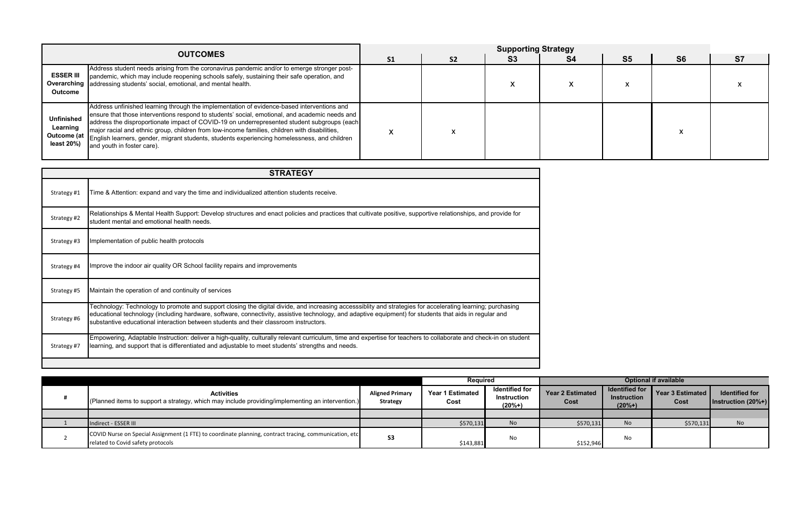|                                             | <b>OUTCOMES</b>                                                                                                                                                                                                                                                                                                                                                                                                                                                                                                                               |                | <b>Supporting Strategy</b> |           |                |                |                |    |  |
|---------------------------------------------|-----------------------------------------------------------------------------------------------------------------------------------------------------------------------------------------------------------------------------------------------------------------------------------------------------------------------------------------------------------------------------------------------------------------------------------------------------------------------------------------------------------------------------------------------|----------------|----------------------------|-----------|----------------|----------------|----------------|----|--|
|                                             |                                                                                                                                                                                                                                                                                                                                                                                                                                                                                                                                               | S <sub>1</sub> | S <sub>2</sub>             | <b>S3</b> | S <sub>4</sub> | S <sub>5</sub> | S <sub>6</sub> | S7 |  |
| <b>ESSER III</b><br><b>Outcome</b>          | Address student needs arising from the coronavirus pandemic and/or to emerge stronger post-<br>pandemic, which may include reopening schools safely, sustaining their safe operation, and<br><b>Overarching</b> addressing students' social, emotional, and mental health.                                                                                                                                                                                                                                                                    |                |                            |           |                |                |                |    |  |
| <b>Unfinished</b><br>Learning<br>least 20%) | Address unfinished learning through the implementation of evidence-based interventions and<br>ensure that those interventions respond to students' social, emotional, and academic needs and<br>address the disproportionate impact of COVID-19 on underrepresented student subgroups (each<br>major racial and ethnic group, children from low-income families, children with disabilities,<br><b>Outcome (at English learners, gender, migrant students, students experiencing homelessness, and children</b><br>and youth in foster care). |                |                            |           |                |                |                |    |  |

|                                                                                                                                             |                                           | <b>Required</b>                 |                                                         |                                 | <b>Optional if available</b>                     |                            |                                                  |
|---------------------------------------------------------------------------------------------------------------------------------------------|-------------------------------------------|---------------------------------|---------------------------------------------------------|---------------------------------|--------------------------------------------------|----------------------------|--------------------------------------------------|
| <b>Activities</b><br>(Planned items to support a strategy, which may include providing/implementing an intervention.)                       | <b>Aligned Primary</b><br><b>Strategy</b> | <b>Year 1 Estimated</b><br>Cost | <b>Identified for</b><br><b>Instruction</b><br>$(20%+)$ | <b>Year 2 Estimated</b><br>Cost | Identified for<br><b>Instruction</b><br>$(20%+)$ | Year 3 Estimated  <br>Cost | <b>Identified for</b><br>Instruction $(20\% + )$ |
|                                                                                                                                             |                                           |                                 |                                                         |                                 |                                                  |                            |                                                  |
| Indirect - ESSER III                                                                                                                        |                                           | \$570,131                       | No                                                      | \$570,131                       | <b>No</b>                                        | \$570,131                  | No                                               |
| COVID Nurse on Special Assignment (1 FTE) to coordinate planning, contract tracing, communication, etc<br>related to Covid safety protocols | <b>S3</b>                                 | \$143,881                       | No                                                      | \$152,946                       | No                                               |                            |                                                  |

| <b>STRATEGY</b> |                                                                                                                                                                                                                                                                                                                                                                                                                 |  |  |  |  |  |
|-----------------|-----------------------------------------------------------------------------------------------------------------------------------------------------------------------------------------------------------------------------------------------------------------------------------------------------------------------------------------------------------------------------------------------------------------|--|--|--|--|--|
| Strategy #1     | Time & Attention: expand and vary the time and individualized attention students receive.                                                                                                                                                                                                                                                                                                                       |  |  |  |  |  |
| Strategy #2     | Relationships & Mental Health Support: Develop structures and enact policies and practices that cultivate positive, supportive relationships, and provide for<br>student mental and emotional health needs.                                                                                                                                                                                                     |  |  |  |  |  |
| Strategy #3     | Implementation of public health protocols                                                                                                                                                                                                                                                                                                                                                                       |  |  |  |  |  |
| Strategy #4     | Improve the indoor air quality OR School facility repairs and improvements                                                                                                                                                                                                                                                                                                                                      |  |  |  |  |  |
| Strategy #5     | Maintain the operation of and continuity of services                                                                                                                                                                                                                                                                                                                                                            |  |  |  |  |  |
| Strategy #6     | Technology: Technology to promote and support closing the digital divide, and increasing accesssiblity and strategies for accelerating learning; purchasing<br>educational technology (including hardware, software, connectivity, assistive technology, and adaptive equipment) for students that aids in regular and<br>substantive educational interaction between students and their classroom instructors. |  |  |  |  |  |
| Strategy #7     | Empowering, Adaptable Instruction: deliver a high-quality, culturally relevant curriculum, time and expertise for teachers to collaborate and check-in on student<br>learning, and support that is differentiated and adjustable to meet students' strengths and needs.                                                                                                                                         |  |  |  |  |  |
|                 |                                                                                                                                                                                                                                                                                                                                                                                                                 |  |  |  |  |  |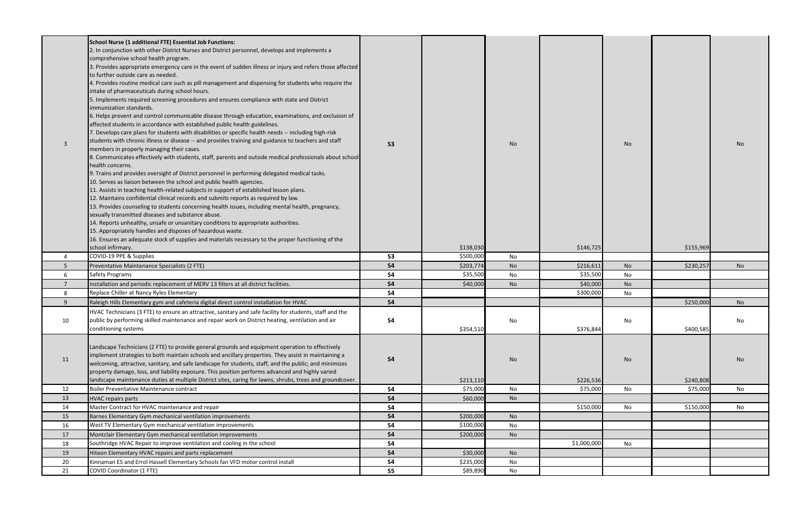|                | School Nurse (1 additional FTE) Essential Job Functions:                                                                                 |                |           |           |             |           |           |           |
|----------------|------------------------------------------------------------------------------------------------------------------------------------------|----------------|-----------|-----------|-------------|-----------|-----------|-----------|
|                | 2. In conjunction with other District Nurses and District personnel, develops and implements a                                           |                |           |           |             |           |           |           |
|                | comprehensive school health program.                                                                                                     |                |           |           |             |           |           |           |
|                | 3. Provides appropriate emergency care in the event of sudden illness or injury and refers those affected                                |                |           |           |             |           |           |           |
|                | to further outside care as needed.                                                                                                       |                |           |           |             |           |           |           |
|                | 4. Provides routine medical care such as pill management and dispensing for students who require the                                     |                |           |           |             |           |           |           |
|                | intake of pharmaceuticals during school hours.                                                                                           |                |           |           |             |           |           |           |
|                | 5. Implements required screening procedures and ensures compliance with state and District                                               |                |           |           |             |           |           |           |
|                | immunization standards.                                                                                                                  |                |           |           |             |           |           |           |
|                | 6. Helps prevent and control communicable disease through education, examinations, and exclusion of                                      |                |           |           |             |           |           |           |
|                | affected students in accordance with established public health guidelines.                                                               |                |           |           |             |           |           |           |
|                | . Develops care plans for students with disabilities or specific health needs -- including high-risk                                     |                |           |           |             |           |           |           |
| $\overline{3}$ | students with chronic illness or disease -- and provides training and guidance to teachers and staff                                     | S <sub>3</sub> |           | <b>No</b> |             | No        |           | No.       |
|                | members in properly managing their cases.                                                                                                |                |           |           |             |           |           |           |
|                | 8. Communicates effectively with students, staff, parents and outside medical professionals about school                                 |                |           |           |             |           |           |           |
|                | health concerns.                                                                                                                         |                |           |           |             |           |           |           |
|                | 9. Trains and provides oversight of District personnel in performing delegated medical tasks.                                            |                |           |           |             |           |           |           |
|                | 10. Serves as liaison between the school and public health agencies.                                                                     |                |           |           |             |           |           |           |
|                | 11. Assists in teaching health-related subjects in support of established lesson plans.                                                  |                |           |           |             |           |           |           |
|                | 12. Maintains confidential clinical records and submits reports as required by law.                                                      |                |           |           |             |           |           |           |
|                | 13. Provides counseling to students concerning health issues, including mental health, pregnancy,                                        |                |           |           |             |           |           |           |
|                | sexually transmitted diseases and substance abuse.<br>14. Reports unhealthy, unsafe or unsanitary conditions to appropriate authorities. |                |           |           |             |           |           |           |
|                | 15. Appropriately handles and disposes of hazardous waste.                                                                               |                |           |           |             |           |           |           |
|                | 16. Ensures an adequate stock of supplies and materials necessary to the proper functioning of the                                       |                |           |           |             |           |           |           |
|                | school infirmary.                                                                                                                        |                | \$138,030 |           | \$146,725   |           | \$155,969 |           |
|                | COVID-19 PPE & Supplies                                                                                                                  | <b>S3</b>      | \$500,000 | No        |             |           |           |           |
|                | Preventative Maintenance Specialists (2 FTE)                                                                                             | <b>S4</b>      | \$203,774 | No        | \$216,611   | No        | \$230,257 | No        |
| -6             | Safety Programs                                                                                                                          | <b>S4</b>      | \$35,500  | No        | \$35,500    | No        |           |           |
|                | Installation and periodic replacement of MERV 13 filters at all district facilities.                                                     | <b>S4</b>      | \$40,000  | <b>No</b> | \$40,000    | No        |           |           |
| 8              | Replace Chiller at Nancy Ryles Elementary                                                                                                | <b>S4</b>      |           |           | \$300,000   | No        |           |           |
| 9              | Raleigh Hills Elementary gym and cafeteria digital direct control installation for HVAC                                                  | <b>S4</b>      |           |           |             |           | \$250,000 | <b>No</b> |
|                | HVAC Technicians (3 FTE) to ensure an attractive, sanitary and safe facility for students, staff and the                                 |                |           |           |             |           |           |           |
| 10             | public by performing skilled maintenance and repair work on District heating, ventilation and air                                        | <b>S4</b>      |           | No        |             | No        |           | No        |
|                | conditioning systems                                                                                                                     |                | \$354,510 |           | \$376,844   |           | \$400,585 |           |
|                |                                                                                                                                          |                |           |           |             |           |           |           |
|                | Landscape Technicians (2 FTE) to provide general grounds and equipment operation to effectively                                          |                |           |           |             |           |           |           |
|                | implement strategies to both maintain schools and ancillary properties. They assist in maintaining a                                     |                |           |           |             |           |           |           |
| 11             | welcoming, attractive, sanitary, and safe landscape for students, staff, and the public; and minimizes                                   | <b>S4</b>      |           | No        |             | <b>No</b> |           | No        |
|                | property damage, loss, and liability exposure. This position performs advanced and highly varied                                         |                |           |           |             |           |           |           |
|                | andscape maintenance duties at multiple District sites, caring for lawns, shrubs, trees and groundcover.                                 |                | \$213,110 |           | \$226,536   |           | \$240,808 |           |
| 12             | Boiler Preventative Maintenance contract                                                                                                 | <b>S4</b>      | \$75,000  | No        | \$75,000    | No        | \$75,000  | No        |
| 13             | <b>HVAC repairs parts</b>                                                                                                                | <b>S4</b>      | \$60,000  | No        |             |           |           |           |
| 14             | Master Contract for HVAC maintenance and repair                                                                                          | <b>S4</b>      |           |           | \$150,000   | No        | \$150,000 | No        |
| 15             | Barnes Elementary Gym mechanical ventilation improvements                                                                                | <b>S4</b>      | \$200,000 | No        |             |           |           |           |
| 16             | West TV Elementary Gym mechanical ventilation improvements                                                                               | <b>S4</b>      | \$100,000 | No        |             |           |           |           |
| 17             | Montclair Elementary Gym mechanical ventilation improvements                                                                             | <b>S4</b>      | \$200,000 | <b>No</b> |             |           |           |           |
| 18             | Southridge HVAC Repair to improve ventilation and cooling in the school                                                                  | <b>S4</b>      |           |           | \$1,000,000 | No        |           |           |
| 19             | Hiteon Elementary HVAC repairs and parts replacement                                                                                     | <b>S4</b>      | \$30,000  | No        |             |           |           |           |
| 20             | Kinnaman ES and Errol Hassell Elementary Schools fan VFD motor control install                                                           | <b>S4</b>      | \$235,000 | No        |             |           |           |           |
| 21             | <b>COVID Coordinator (1 FTE)</b>                                                                                                         | S <sub>5</sub> | \$89,890  | No        |             |           |           |           |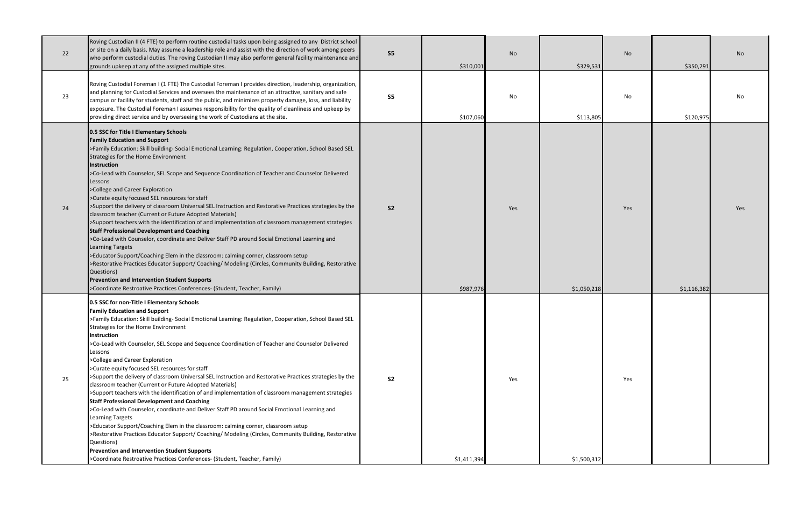| 22 | Roving Custodian II (4 FTE) to perform routine custodial tasks upon being assigned to any District school<br>or site on a daily basis. May assume a leadership role and assist with the direction of work among peers<br>who perform custodial duties. The roving Custodian II may also perform general facility maintenance and<br>grounds upkeep at any of the assigned multiple sites.                                                                                                                                                                                                                                                                                                                                                                                                                                                                                                                                                                                                                                                                                                                                                                                                                                                                                   | S <sub>5</sub> | \$310,001   | No  | \$329,531   | No  | \$350,291   | No  |
|----|-----------------------------------------------------------------------------------------------------------------------------------------------------------------------------------------------------------------------------------------------------------------------------------------------------------------------------------------------------------------------------------------------------------------------------------------------------------------------------------------------------------------------------------------------------------------------------------------------------------------------------------------------------------------------------------------------------------------------------------------------------------------------------------------------------------------------------------------------------------------------------------------------------------------------------------------------------------------------------------------------------------------------------------------------------------------------------------------------------------------------------------------------------------------------------------------------------------------------------------------------------------------------------|----------------|-------------|-----|-------------|-----|-------------|-----|
| 23 | Roving Custodial Foreman I (1 FTE) The Custodial Foreman I provides direction, leadership, organization,<br>and planning for Custodial Services and oversees the maintenance of an attractive, sanitary and safe<br>campus or facility for students, staff and the public, and minimizes property damage, loss, and liability<br>exposure. The Custodial Foreman I assumes responsibility for the quality of cleanliness and upkeep by<br>providing direct service and by overseeing the work of Custodians at the site.                                                                                                                                                                                                                                                                                                                                                                                                                                                                                                                                                                                                                                                                                                                                                    | S <sub>5</sub> | \$107,060   | No  | \$113,805   | No  | \$120,975   | No. |
| 24 | 0.5 SSC for Title I Elementary Schools<br><b>Family Education and Support</b><br>>Family Education: Skill building- Social Emotional Learning: Regulation, Cooperation, School Based SEL<br>Strategies for the Home Environment<br>Instruction<br>>Co-Lead with Counselor, SEL Scope and Sequence Coordination of Teacher and Counselor Delivered<br>Lessons<br>>College and Career Exploration<br>>Curate equity focused SEL resources for staff<br>>Support the delivery of classroom Universal SEL Instruction and Restorative Practices strategies by the<br>classroom teacher (Current or Future Adopted Materials)<br>>Support teachers with the identification of and implementation of classroom management strategies<br><b>Staff Professional Development and Coaching</b><br>>Co-Lead with Counselor, coordinate and Deliver Staff PD around Social Emotional Learning and<br><b>Learning Targets</b><br>>Educator Support/Coaching Elem in the classroom: calming corner, classroom setup<br>>Restorative Practices Educator Support/ Coaching/ Modeling (Circles, Community Building, Restorative<br>Questions)<br><b>Prevention and Intervention Student Supports</b><br>>Coordinate Restroative Practices Conferences- (Student, Teacher, Family)            | <b>S2</b>      | \$987,976   | Yes | \$1,050,218 | Yes | \$1,116,382 | Yes |
| 25 | 0.5 SSC for non-Title I Elementary Schools<br><b>Family Education and Support</b><br>>Family Education: Skill building- Social Emotional Learning: Regulation, Cooperation, School Based SEL<br>Strategies for the Home Environment<br><b>Instruction</b><br>>Co-Lead with Counselor, SEL Scope and Sequence Coordination of Teacher and Counselor Delivered<br>Lessons<br>>College and Career Exploration<br>>Curate equity focused SEL resources for staff<br>>Support the delivery of classroom Universal SEL Instruction and Restorative Practices strategies by the<br>classroom teacher (Current or Future Adopted Materials)<br>>Support teachers with the identification of and implementation of classroom management strategies<br><b>Staff Professional Development and Coaching</b><br>>Co-Lead with Counselor, coordinate and Deliver Staff PD around Social Emotional Learning and<br><b>Learning Targets</b><br>>Educator Support/Coaching Elem in the classroom: calming corner, classroom setup<br>>Restorative Practices Educator Support/ Coaching/ Modeling (Circles, Community Building, Restorative<br>Questions)<br><b>Prevention and Intervention Student Supports</b><br>>Coordinate Restroative Practices Conferences- (Student, Teacher, Family) | S <sub>2</sub> | \$1,411,394 | Yes | \$1,500,312 | Yes |             |     |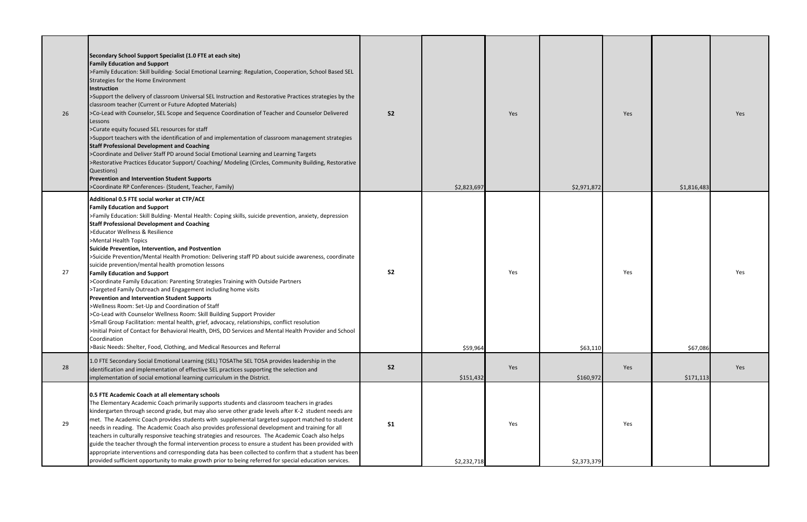| 26 | Secondary School Support Specialist (1.0 FTE at each site)<br><b>Family Education and Support</b><br>>Family Education: Skill building- Social Emotional Learning: Regulation, Cooperation, School Based SEL<br>Strategies for the Home Environment<br><b>Instruction</b><br>>Support the delivery of classroom Universal SEL Instruction and Restorative Practices strategies by the<br>classroom teacher (Current or Future Adopted Materials)<br>>Co-Lead with Counselor, SEL Scope and Sequence Coordination of Teacher and Counselor Delivered<br>Lessons<br>>Curate equity focused SEL resources for staff<br>>Support teachers with the identification of and implementation of classroom management strategies<br><b>Staff Professional Development and Coaching</b><br>>Coordinate and Deliver Staff PD around Social Emotional Learning and Learning Targets<br>>Restorative Practices Educator Support/ Coaching/ Modeling (Circles, Community Building, Restorative<br>Questions)<br><b>Prevention and Intervention Student Supports</b><br>>Coordinate RP Conferences- (Student, Teacher, Family)                                                                                                                        | <b>S2</b>      | \$2,823,697 | Yes | \$2,971,872 | Yes | \$1,816,483 | Yes |
|----|---------------------------------------------------------------------------------------------------------------------------------------------------------------------------------------------------------------------------------------------------------------------------------------------------------------------------------------------------------------------------------------------------------------------------------------------------------------------------------------------------------------------------------------------------------------------------------------------------------------------------------------------------------------------------------------------------------------------------------------------------------------------------------------------------------------------------------------------------------------------------------------------------------------------------------------------------------------------------------------------------------------------------------------------------------------------------------------------------------------------------------------------------------------------------------------------------------------------------------------|----------------|-------------|-----|-------------|-----|-------------|-----|
| 27 | Additional 0.5 FTE social worker at CTP/ACE<br><b>Family Education and Support</b><br>>Family Education: Skill Bulding- Mental Health: Coping skills, suicide prevention, anxiety, depression<br><b>Staff Professional Development and Coaching</b><br>>Educator Wellness & Resilience<br>>Mental Health Topics<br><b>Suicide Prevention, Intervention, and Postvention</b><br>>Suicide Prevention/Mental Health Promotion: Delivering staff PD about suicide awareness, coordinate<br>suicide prevention/mental health promotion lessons<br><b>Family Education and Support</b><br>>Coordinate Family Education: Parenting Strategies Training with Outside Partners<br>>Targeted Family Outreach and Engagement including home visits<br><b>Prevention and Intervention Student Supports</b><br>>Wellness Room: Set-Up and Coordination of Staff<br>>Co-Lead with Counselor Wellness Room: Skill Building Support Provider<br>>Small Group Facilitation: mental health, grief, advocacy, relationships, conflict resolution<br>>Initial Point of Contact for Behavioral Health, DHS, DD Services and Mental Health Provider and School<br>Coordination<br>>Basic Needs: Shelter, Food, Clothing, and Medical Resources and Referral | S <sub>2</sub> | \$59,964    | Yes | \$63,110    | Yes | \$67,086    | Yes |
| 28 | 1.0 FTE Secondary Social Emotional Learning (SEL) TOSAThe SEL TOSA provides leadership in the<br>identification and implementation of effective SEL practices supporting the selection and<br>implementation of social emotional learning curriculum in the District.                                                                                                                                                                                                                                                                                                                                                                                                                                                                                                                                                                                                                                                                                                                                                                                                                                                                                                                                                                 | S <sub>2</sub> | \$151,432   | Yes | \$160,972   | Yes | \$171,113   | Yes |
| 29 | 0.5 FTE Academic Coach at all elementary schools<br>The Elementary Academic Coach primarily supports students and classroom teachers in grades<br>kindergarten through second grade, but may also serve other grade levels after K-2 student needs are<br>met. The Academic Coach provides students with supplemental targeted support matched to student<br>needs in reading. The Academic Coach also provides professional development and training for all<br>teachers in culturally responsive teaching strategies and resources. The Academic Coach also helps<br>guide the teacher through the formal intervention process to ensure a student has been provided with<br>appropriate interventions and corresponding data has been collected to confirm that a student has been<br>provided sufficient opportunity to make growth prior to being referred for special education services.                                                                                                                                                                                                                                                                                                                                       | <b>S1</b>      | \$2,232,718 | Yes | \$2,373,379 | Yes |             |     |